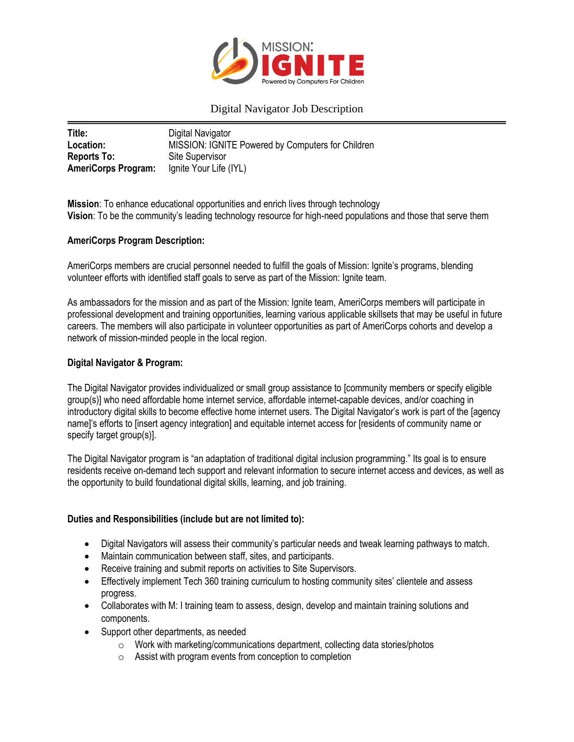

# Digital Navigator Job Description

| Title:                     | Digital Navigator                                 |
|----------------------------|---------------------------------------------------|
| Location:                  | MISSION: IGNITE Powered by Computers for Children |
| <b>Reports To:</b>         | Site Supervisor                                   |
| <b>AmeriCorps Program:</b> | Ignite Your Life (IYL)                            |

**Mission**: To enhance educational opportunities and enrich lives through technology **Vision**: To be the community's leading technology resource for high-need populations and those that serve them

#### **AmeriCorps Program Description:**

AmeriCorps members are crucial personnel needed to fulfill the goals of Mission: Ignite's programs, blending volunteer efforts with identified staff goals to serve as part of the Mission: Ignite team.

As ambassadors for the mission and as part of the Mission: Ignite team, AmeriCorps members will participate in professional development and training opportunities, learning various applicable skillsets that may be useful in future careers. The members will also participate in volunteer opportunities as part of AmeriCorps cohorts and develop a network of mission-minded people in the local region.

#### **Digital Navigator & Program:**

The Digital Navigator provides individualized or small group assistance to [community members or specify eligible group(s)] who need affordable home internet service, affordable internet-capable devices, and/or coaching in introductory digital skills to become effective home internet users. The Digital Navigator's work is part of the [agency name]'s efforts to [insert agency integration] and equitable internet access for [residents of community name or specify target group(s)].

The Digital Navigator program is "an adaptation of traditional digital inclusion programming." Its goal is to ensure residents receive on-demand tech support and relevant information to secure internet access and devices, as well as the opportunity to build foundational digital skills, learning, and job training.

#### **Duties and Responsibilities (include but are not limited to):**

- Digital Navigators will assess their community's particular needs and tweak learning pathways to match.
- Maintain communication between staff, sites, and participants.
- Receive training and submit reports on activities to Site Supervisors.
- Effectively implement Tech 360 training curriculum to hosting community sites' clientele and assess progress.
- Collaborates with M: I training team to assess, design, develop and maintain training solutions and components.
- Support other departments, as needed
	- o Work with marketing/communications department, collecting data stories/photos
	- $\circ$  Assist with program events from conception to completion